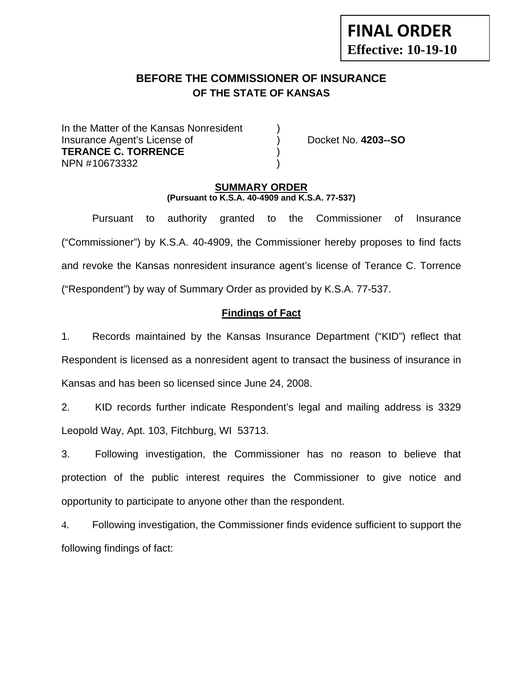# **FINAL ORDER Effective: 10-19-10**

# **BEFORE THE COMMISSIONER OF INSURANCE OF THE STATE OF KANSAS**

In the Matter of the Kansas Nonresident Insurance Agent's License of ) Docket No. **4203--SO TERANCE C. TORRENCE** ) NPN #10673332

#### **SUMMARY ORDER (Pursuant to K.S.A. 40-4909 and K.S.A. 77-537)**

 Pursuant to authority granted to the Commissioner of Insurance ("Commissioner") by K.S.A. 40-4909, the Commissioner hereby proposes to find facts and revoke the Kansas nonresident insurance agent's license of Terance C. Torrence ("Respondent") by way of Summary Order as provided by K.S.A. 77-537.

## **Findings of Fact**

1. Records maintained by the Kansas Insurance Department ("KID") reflect that Respondent is licensed as a nonresident agent to transact the business of insurance in Kansas and has been so licensed since June 24, 2008.

2. KID records further indicate Respondent's legal and mailing address is 3329 Leopold Way, Apt. 103, Fitchburg, WI 53713.

3. Following investigation, the Commissioner has no reason to believe that protection of the public interest requires the Commissioner to give notice and opportunity to participate to anyone other than the respondent.

4. Following investigation, the Commissioner finds evidence sufficient to support the following findings of fact: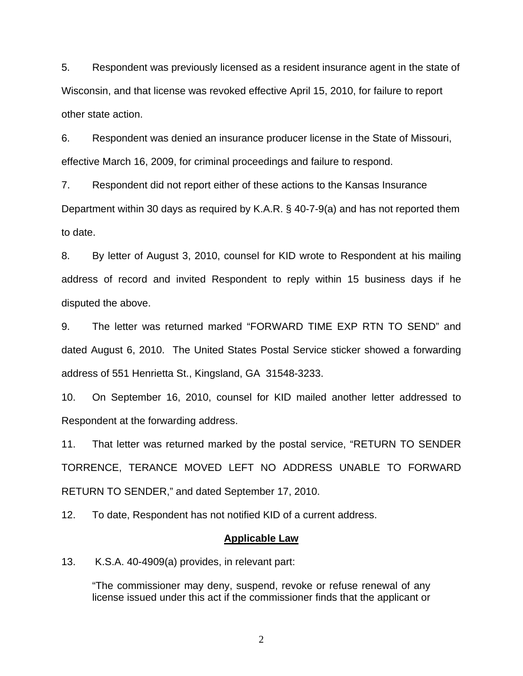5. Respondent was previously licensed as a resident insurance agent in the state of Wisconsin, and that license was revoked effective April 15, 2010, for failure to report other state action.

6. Respondent was denied an insurance producer license in the State of Missouri, effective March 16, 2009, for criminal proceedings and failure to respond.

7. Respondent did not report either of these actions to the Kansas Insurance Department within 30 days as required by K.A.R. § 40-7-9(a) and has not reported them to date.

8. By letter of August 3, 2010, counsel for KID wrote to Respondent at his mailing address of record and invited Respondent to reply within 15 business days if he disputed the above.

9. The letter was returned marked "FORWARD TIME EXP RTN TO SEND" and dated August 6, 2010. The United States Postal Service sticker showed a forwarding address of 551 Henrietta St., Kingsland, GA 31548-3233.

10. On September 16, 2010, counsel for KID mailed another letter addressed to Respondent at the forwarding address.

11. That letter was returned marked by the postal service, "RETURN TO SENDER TORRENCE, TERANCE MOVED LEFT NO ADDRESS UNABLE TO FORWARD RETURN TO SENDER," and dated September 17, 2010.

12. To date, Respondent has not notified KID of a current address.

#### **Applicable Law**

13. K.S.A. 40-4909(a) provides, in relevant part:

"The commissioner may deny, suspend, revoke or refuse renewal of any license issued under this act if the commissioner finds that the applicant or

2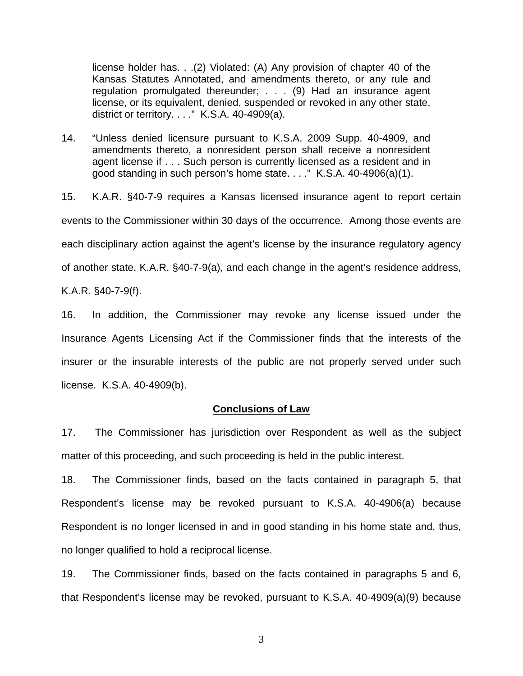license holder has. . .(2) Violated: (A) Any provision of chapter 40 of the Kansas Statutes Annotated, and amendments thereto, or any rule and regulation promulgated thereunder; . . . (9) Had an insurance agent license, or its equivalent, denied, suspended or revoked in any other state, district or territory.  $\dots$ " K.S.A. 40-4909(a).

14. "Unless denied licensure pursuant to K.S.A. 2009 Supp. 40-4909, and amendments thereto, a nonresident person shall receive a nonresident agent license if . . . Such person is currently licensed as a resident and in good standing in such person's home state. . . ." K.S.A. 40-4906(a)(1).

15. K.A.R. §40-7-9 requires a Kansas licensed insurance agent to report certain events to the Commissioner within 30 days of the occurrence. Among those events are each disciplinary action against the agent's license by the insurance regulatory agency of another state, K.A.R. §40-7-9(a), and each change in the agent's residence address, K.A.R. §40-7-9(f).

16. In addition, the Commissioner may revoke any license issued under the Insurance Agents Licensing Act if the Commissioner finds that the interests of the insurer or the insurable interests of the public are not properly served under such license. K.S.A. 40-4909(b).

#### **Conclusions of Law**

17. The Commissioner has jurisdiction over Respondent as well as the subject matter of this proceeding, and such proceeding is held in the public interest.

18. The Commissioner finds, based on the facts contained in paragraph 5, that Respondent's license may be revoked pursuant to K.S.A. 40-4906(a) because Respondent is no longer licensed in and in good standing in his home state and, thus, no longer qualified to hold a reciprocal license.

19. The Commissioner finds, based on the facts contained in paragraphs 5 and 6, that Respondent's license may be revoked, pursuant to K.S.A. 40-4909(a)(9) because

3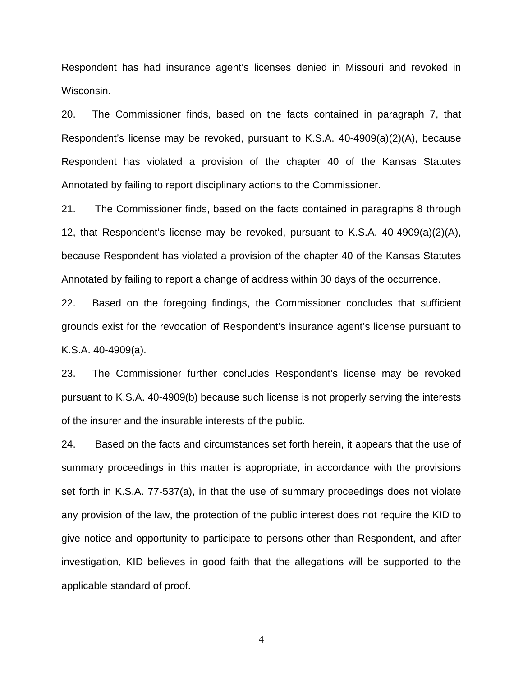Respondent has had insurance agent's licenses denied in Missouri and revoked in Wisconsin.

20. The Commissioner finds, based on the facts contained in paragraph 7, that Respondent's license may be revoked, pursuant to K.S.A. 40-4909(a)(2)(A), because Respondent has violated a provision of the chapter 40 of the Kansas Statutes Annotated by failing to report disciplinary actions to the Commissioner.

21. The Commissioner finds, based on the facts contained in paragraphs 8 through 12, that Respondent's license may be revoked, pursuant to K.S.A. 40-4909(a)(2)(A), because Respondent has violated a provision of the chapter 40 of the Kansas Statutes Annotated by failing to report a change of address within 30 days of the occurrence.

22. Based on the foregoing findings, the Commissioner concludes that sufficient grounds exist for the revocation of Respondent's insurance agent's license pursuant to K.S.A. 40-4909(a).

23. The Commissioner further concludes Respondent's license may be revoked pursuant to K.S.A. 40-4909(b) because such license is not properly serving the interests of the insurer and the insurable interests of the public.

24. Based on the facts and circumstances set forth herein, it appears that the use of summary proceedings in this matter is appropriate, in accordance with the provisions set forth in K.S.A. 77-537(a), in that the use of summary proceedings does not violate any provision of the law, the protection of the public interest does not require the KID to give notice and opportunity to participate to persons other than Respondent, and after investigation, KID believes in good faith that the allegations will be supported to the applicable standard of proof.

4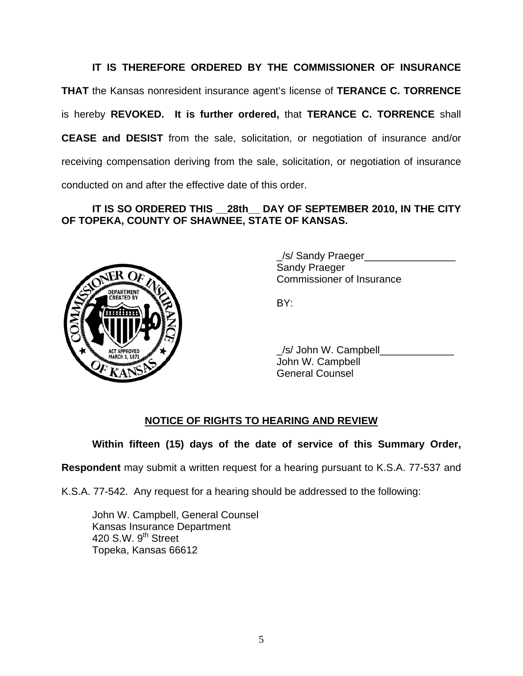**IT IS THEREFORE ORDERED BY THE COMMISSIONER OF INSURANCE THAT** the Kansas nonresident insurance agent's license of **TERANCE C. TORRENCE** is hereby **REVOKED. It is further ordered,** that **TERANCE C. TORRENCE** shall **CEASE and DESIST** from the sale, solicitation, or negotiation of insurance and/or receiving compensation deriving from the sale, solicitation, or negotiation of insurance conducted on and after the effective date of this order.

## **IT IS SO ORDERED THIS \_\_28th\_\_ DAY OF SEPTEMBER 2010, IN THE CITY OF TOPEKA, COUNTY OF SHAWNEE, STATE OF KANSAS.**



 \_/s/ Sandy Praeger\_\_\_\_\_\_\_\_\_\_\_\_\_\_\_\_ Sandy Praeger Commissioner of Insurance

 \_/s/ John W. Campbell\_\_\_\_\_\_\_\_\_\_\_\_\_ John W. Campbell General Counsel

### **NOTICE OF RIGHTS TO HEARING AND REVIEW**

**Within fifteen (15) days of the date of service of this Summary Order,** 

**Respondent** may submit a written request for a hearing pursuant to K.S.A. 77-537 and

K.S.A. 77-542. Any request for a hearing should be addressed to the following:

 John W. Campbell, General Counsel Kansas Insurance Department 420 S.W. 9<sup>th</sup> Street Topeka, Kansas 66612